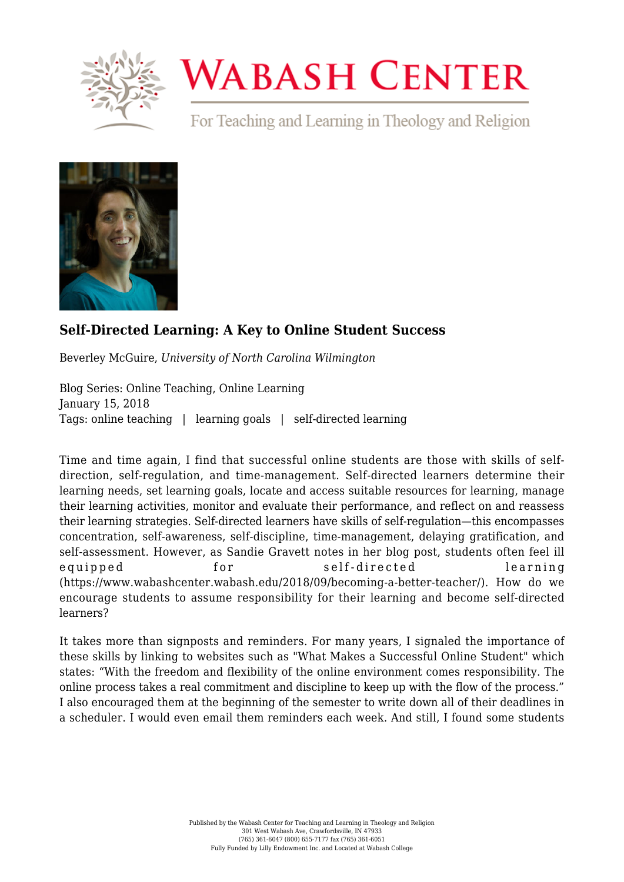

## **WABASH CENTER**

For Teaching and Learning in Theology and Religion



## **[Self-Directed Learning: A Key to Online Student Success](https://www.wabashcenter.wabash.edu/2018/01/self-directed-learning-a-key-to-online-student-success/)**

Beverley McGuire, *University of North Carolina Wilmington*

Blog Series: Online Teaching, Online Learning January 15, 2018 Tags: online teaching | learning goals | self-directed learning

Time and time again, I find that successful online students are those with skills of selfdirection, self-regulation, and time-management. Self-directed learners determine their learning needs, set learning goals, locate and access suitable resources for learning, manage their learning activities, monitor and evaluate their performance, and reflect on and reassess their learning strategies. Self-directed learners have skills of self-regulation—this encompasses concentration, self-awareness, self-discipline, time-management, delaying gratification, and self-assessment. However, as Sandie Gravett notes in her blog post, students often feel ill equipped for self-directed learning ([https://www.wabashcenter.wabash.edu/2018/09/becoming-a-better-teacher/\).](https://www.wabashcenter.wabash.edu/2018/09/becoming-a-better-teacher/)) How do we encourage students to assume responsibility for their learning and become self-directed learners?

It takes more than signposts and reminders. For many years, I signaled the importance of these skills by linking to websites such as "What Makes a Successful Online Student" which states: "With the freedom and flexibility of the online environment comes responsibility. The online process takes a real commitment and discipline to keep up with the flow of the process." I also encouraged them at the beginning of the semester to write down all of their deadlines in a scheduler. I would even email them reminders each week. And still, I found some students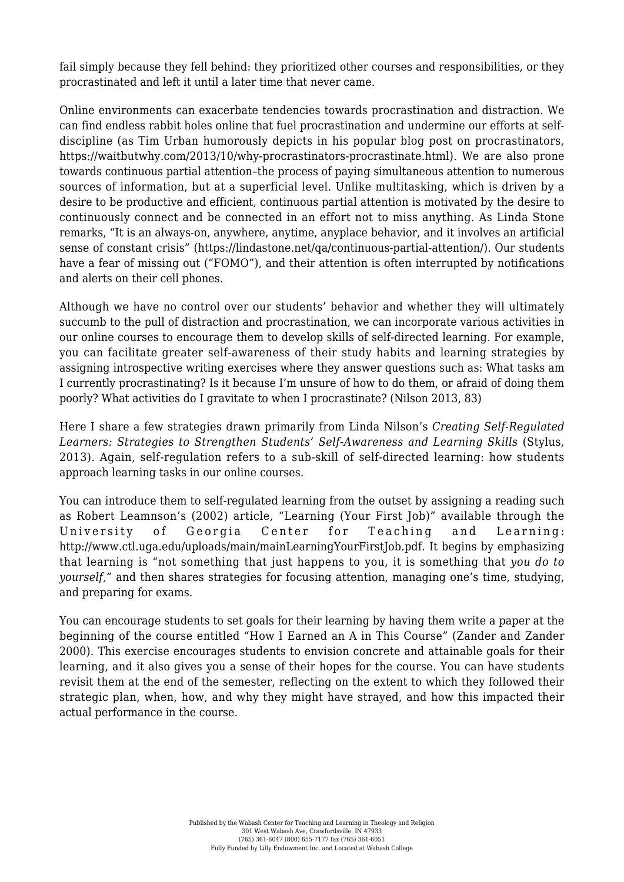fail simply because they fell behind: they prioritized other courses and responsibilities, or they procrastinated and left it until a later time that never came.

Online environments can exacerbate tendencies towards procrastination and distraction. We can find endless rabbit holes online that fuel procrastination and undermine our efforts at selfdiscipline (as Tim Urban humorously depicts in his popular blog post on procrastinators, [https://waitbutwhy.com/2013/10/why-procrastinators-procrastinate.html\).](https://waitbutwhy.com/2013/10/why-procrastinators-procrastinate.html)) We are also prone towards continuous partial attention–the process of paying simultaneous attention to numerous sources of information, but at a superficial level. Unlike multitasking, which is driven by a desire to be productive and efficient, continuous partial attention is motivated by the desire to continuously connect and be connected in an effort not to miss anything. As Linda Stone remarks, "It is an always-on, anywhere, anytime, anyplace behavior, and it involves an artificial sense of constant crisis" ([https://lindastone.net/qa/continuous-partial-attention/\)](https://lindastone.net/2009/11/30/beyond-simple-multi-tasking-continuous-partial-attention/). Our students have a fear of missing out ("FOMO"), and their attention is often interrupted by notifications and alerts on their cell phones.

Although we have no control over our students' behavior and whether they will ultimately succumb to the pull of distraction and procrastination, we can incorporate various activities in our online courses to encourage them to develop skills of self-directed learning. For example, you can facilitate greater self-awareness of their study habits and learning strategies by assigning introspective writing exercises where they answer questions such as: What tasks am I currently procrastinating? Is it because I'm unsure of how to do them, or afraid of doing them poorly? What activities do I gravitate to when I procrastinate? (Nilson 2013, 83)

Here I share a few strategies drawn primarily from Linda Nilson's *Creating Self-Regulated Learners: Strategies to Strengthen Students' Self-Awareness and Learning Skills* (Stylus, 2013). Again, self-regulation refers to a sub-skill of self-directed learning: how students approach learning tasks in our online courses.

You can introduce them to self-regulated learning from the outset by assigning a reading such as Robert Leamnson's (2002) article, "Learning (Your First Job)" available through the University of Georgia Center for Teaching and Learning: [http://www.ctl.uga.edu/uploads/main/mainLearningYourFirstJob.pdf.](http://www.ctl.uga.edu/uploads/main/mainLearningYourFirstJob.pdf) It begins by emphasizing that learning is "not something that just happens to you, it is something that *you do to yourself,*" and then shares strategies for focusing attention, managing one's time, studying, and preparing for exams.

You can encourage students to set goals for their learning by having them write a paper at the beginning of the course entitled "How I Earned an A in This Course" (Zander and Zander 2000). This exercise encourages students to envision concrete and attainable goals for their learning, and it also gives you a sense of their hopes for the course. You can have students revisit them at the end of the semester, reflecting on the extent to which they followed their strategic plan, when, how, and why they might have strayed, and how this impacted their actual performance in the course.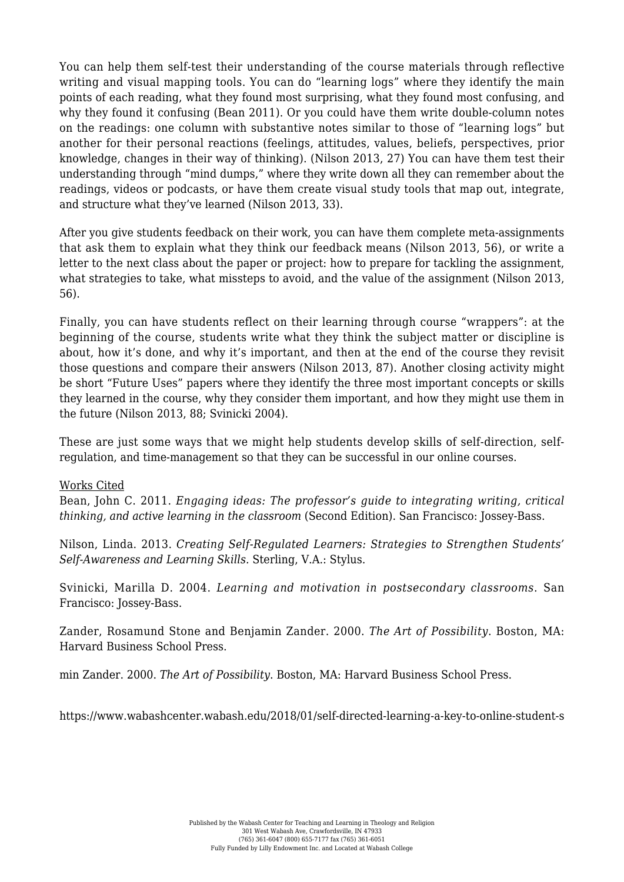You can help them self-test their understanding of the course materials through reflective writing and visual mapping tools. You can do "learning logs" where they identify the main points of each reading, what they found most surprising, what they found most confusing, and why they found it confusing (Bean 2011). Or you could have them write double-column notes on the readings: one column with substantive notes similar to those of "learning logs" but another for their personal reactions (feelings, attitudes, values, beliefs, perspectives, prior knowledge, changes in their way of thinking). (Nilson 2013, 27) You can have them test their understanding through "mind dumps," where they write down all they can remember about the readings, videos or podcasts, or have them create visual study tools that map out, integrate, and structure what they've learned (Nilson 2013, 33).

After you give students feedback on their work, you can have them complete meta-assignments that ask them to explain what they think our feedback means (Nilson 2013, 56), or write a letter to the next class about the paper or project: how to prepare for tackling the assignment, what strategies to take, what missteps to avoid, and the value of the assignment (Nilson 2013, 56).

Finally, you can have students reflect on their learning through course "wrappers": at the beginning of the course, students write what they think the subject matter or discipline is about, how it's done, and why it's important, and then at the end of the course they revisit those questions and compare their answers (Nilson 2013, 87). Another closing activity might be short "Future Uses" papers where they identify the three most important concepts or skills they learned in the course, why they consider them important, and how they might use them in the future (Nilson 2013, 88; Svinicki 2004).

These are just some ways that we might help students develop skills of self-direction, selfregulation, and time-management so that they can be successful in our online courses.

## Works Cited

Bean, John C. 2011. *Engaging ideas: The professor's guide to integrating writing, critical thinking, and active learning in the classroom* (Second Edition). San Francisco: Jossey-Bass.

Nilson, Linda. 2013. *Creating Self-Regulated Learners: Strategies to Strengthen Students' Self-Awareness and Learning Skills.* Sterling, V.A.: Stylus.

Svinicki, Marilla D. 2004. *Learning and motivation in postsecondary classrooms*. San Francisco: Jossey-Bass.

Zander, Rosamund Stone and Benjamin Zander. 2000. *The Art of Possibility*. Boston, MA: Harvard Business School Press.

min Zander. 2000. *The Art of Possibility*. Boston, MA: Harvard Business School Press.

https://www.wabashcenter.wabash.edu/2018/01/self-directed-learning-a-key-to-online-student-s